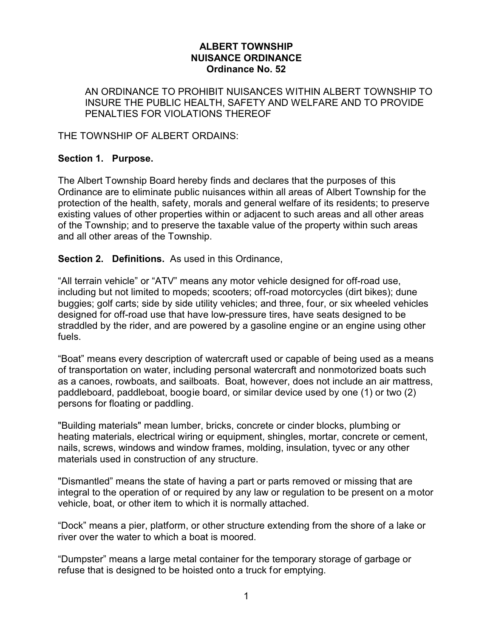### **ALBERT TOWNSHIP NUISANCE ORDINANCE Ordinance No. 52**

AN ORDINANCE TO PROHIBIT NUISANCES WITHIN ALBERT TOWNSHIP TO INSURE THE PUBLIC HEALTH, SAFETY AND WELFARE AND TO PROVIDE PENALTIES FOR VIOLATIONS THEREOF

THE TOWNSHIP OF ALBERT ORDAINS:

# **Section 1. Purpose.**

The Albert Township Board hereby finds and declares that the purposes of this Ordinance are to eliminate public nuisances within all areas of Albert Township for the protection of the health, safety, morals and general welfare of its residents; to preserve existing values of other properties within or adjacent to such areas and all other areas of the Township; and to preserve the taxable value of the property within such areas and all other areas of the Township.

**Section 2. Definitions.** As used in this Ordinance,

"All terrain vehicle" or "ATV" means any motor vehicle designed for off-road use, including but not limited to mopeds; scooters; off-road motorcycles (dirt bikes); dune buggies; golf carts; side by side utility vehicles; and three, four, or six wheeled vehicles designed for off-road use that have low-pressure tires, have seats designed to be straddled by the rider, and are powered by a gasoline engine or an engine using other fuels.

"Boat" means every description of watercraft used or capable of being used as a means of transportation on water, including personal watercraft and nonmotorized boats such as a canoes, rowboats, and sailboats. Boat, however, does not include an air mattress, paddleboard, paddleboat, boogie board, or similar device used by one (1) or two (2) persons for floating or paddling.

"Building materials" mean lumber, bricks, concrete or cinder blocks, plumbing or heating materials, electrical wiring or equipment, shingles, mortar, concrete or cement, nails, screws, windows and window frames, molding, insulation, tyvec or any other materials used in construction of any structure.

"Dismantled" means the state of having a part or parts removed or missing that are integral to the operation of or required by any law or regulation to be present on a motor vehicle, boat, or other item to which it is normally attached.

"Dock" means a pier, platform, or other structure extending from the shore of a lake or river over the water to which a boat is moored.

"Dumpster" means a large metal container for the temporary storage of garbage or refuse that is designed to be hoisted onto a truck for emptying.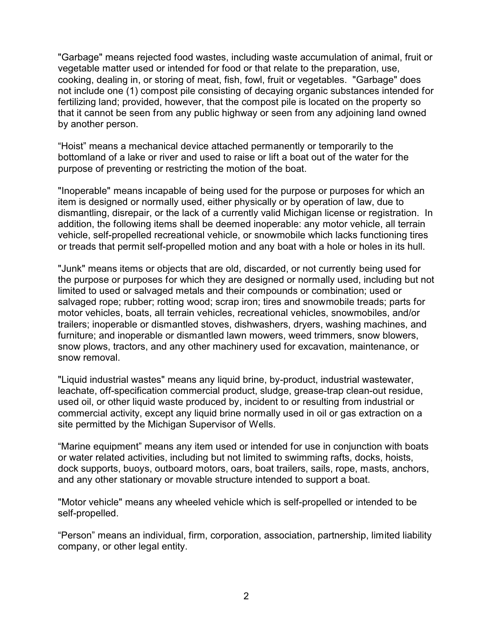"Garbage" means rejected food wastes, including waste accumulation of animal, fruit or vegetable matter used or intended for food or that relate to the preparation, use, cooking, dealing in, or storing of meat, fish, fowl, fruit or vegetables. "Garbage" does not include one (1) compost pile consisting of decaying organic substances intended for fertilizing land; provided, however, that the compost pile is located on the property so that it cannot be seen from any public highway or seen from any adjoining land owned by another person.

"Hoist" means a mechanical device attached permanently or temporarily to the bottomland of a lake or river and used to raise or lift a boat out of the water for the purpose of preventing or restricting the motion of the boat.

"Inoperable" means incapable of being used for the purpose or purposes for which an item is designed or normally used, either physically or by operation of law, due to dismantling, disrepair, or the lack of a currently valid Michigan license or registration. In addition, the following items shall be deemed inoperable: any motor vehicle, all terrain vehicle, self-propelled recreational vehicle, or snowmobile which lacks functioning tires or treads that permit self-propelled motion and any boat with a hole or holes in its hull.

"Junk" means items or objects that are old, discarded, or not currently being used for the purpose or purposes for which they are designed or normally used, including but not limited to used or salvaged metals and their compounds or combination; used or salvaged rope; rubber; rotting wood; scrap iron; tires and snowmobile treads; parts for motor vehicles, boats, all terrain vehicles, recreational vehicles, snowmobiles, and/or trailers; inoperable or dismantled stoves, dishwashers, dryers, washing machines, and furniture; and inoperable or dismantled lawn mowers, weed trimmers, snow blowers, snow plows, tractors, and any other machinery used for excavation, maintenance, or snow removal.

"Liquid industrial wastes" means any liquid brine, by-product, industrial wastewater, leachate, off-specification commercial product, sludge, grease-trap clean-out residue, used oil, or other liquid waste produced by, incident to or resulting from industrial or commercial activity, except any liquid brine normally used in oil or gas extraction on a site permitted by the Michigan Supervisor of Wells.

"Marine equipment" means any item used or intended for use in conjunction with boats or water related activities, including but not limited to swimming rafts, docks, hoists, dock supports, buoys, outboard motors, oars, boat trailers, sails, rope, masts, anchors, and any other stationary or movable structure intended to support a boat.

"Motor vehicle" means any wheeled vehicle which is self-propelled or intended to be self-propelled.

"Person" means an individual, firm, corporation, association, partnership, limited liability company, or other legal entity.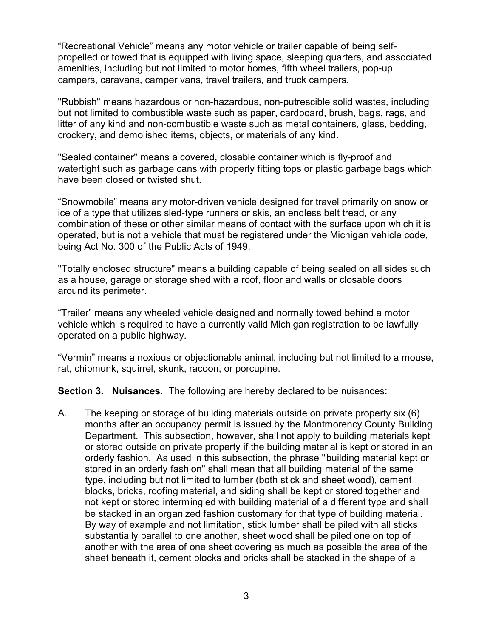"Recreational Vehicle" means any motor vehicle or trailer capable of being selfpropelled or towed that is equipped with living space, sleeping quarters, and associated amenities, including but not limited to motor homes, fifth wheel trailers, pop-up campers, caravans, camper vans, travel trailers, and truck campers.

"Rubbish" means hazardous or non-hazardous, non-putrescible solid wastes, including but not limited to combustible waste such as paper, cardboard, brush, bags, rags, and litter of any kind and non-combustible waste such as metal containers, glass, bedding, crockery, and demolished items, objects, or materials of any kind.

"Sealed container" means a covered, closable container which is fly-proof and watertight such as garbage cans with properly fitting tops or plastic garbage bags which have been closed or twisted shut.

"Snowmobile" means any motor-driven vehicle designed for travel primarily on snow or ice of a type that utilizes sled-type runners or skis, an endless belt tread, or any combination of these or other similar means of contact with the surface upon which it is operated, but is not a vehicle that must be registered under the Michigan vehicle code, being Act No. 300 of the Public Acts of 1949.

"Totally enclosed structure" means a building capable of being sealed on all sides such as a house, garage or storage shed with a roof, floor and walls or closable doors around its perimeter.

"Trailer" means any wheeled vehicle designed and normally towed behind a motor vehicle which is required to have a currently valid Michigan registration to be lawfully operated on a public highway.

"Vermin" means a noxious or objectionable animal, including but not limited to a mouse, rat, chipmunk, squirrel, skunk, racoon, or porcupine.

**Section 3. Nuisances.** The following are hereby declared to be nuisances:

A. The keeping or storage of building materials outside on private property six (6) months after an occupancy permit is issued by the Montmorency County Building Department. This subsection, however, shall not apply to building materials kept or stored outside on private property if the building material is kept or stored in an orderly fashion. As used in this subsection, the phrase "building material kept or stored in an orderly fashion" shall mean that all building material of the same type, including but not limited to lumber (both stick and sheet wood), cement blocks, bricks, roofing material, and siding shall be kept or stored together and not kept or stored intermingled with building material of a different type and shall be stacked in an organized fashion customary for that type of building material. By way of example and not limitation, stick lumber shall be piled with all sticks substantially parallel to one another, sheet wood shall be piled one on top of another with the area of one sheet covering as much as possible the area of the sheet beneath it, cement blocks and bricks shall be stacked in the shape of a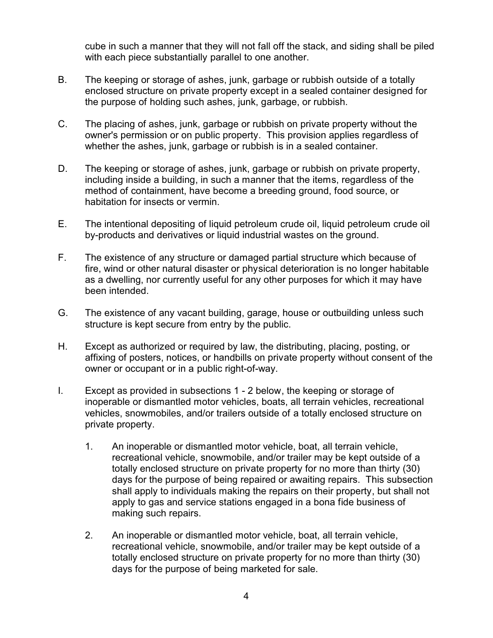cube in such a manner that they will not fall off the stack, and siding shall be piled with each piece substantially parallel to one another.

- B. The keeping or storage of ashes, junk, garbage or rubbish outside of a totally enclosed structure on private property except in a sealed container designed for the purpose of holding such ashes, junk, garbage, or rubbish.
- C. The placing of ashes, junk, garbage or rubbish on private property without the owner's permission or on public property. This provision applies regardless of whether the ashes, junk, garbage or rubbish is in a sealed container.
- D. The keeping or storage of ashes, junk, garbage or rubbish on private property, including inside a building, in such a manner that the items, regardless of the method of containment, have become a breeding ground, food source, or habitation for insects or vermin.
- E. The intentional depositing of liquid petroleum crude oil, liquid petroleum crude oil by-products and derivatives or liquid industrial wastes on the ground.
- F. The existence of any structure or damaged partial structure which because of fire, wind or other natural disaster or physical deterioration is no longer habitable as a dwelling, nor currently useful for any other purposes for which it may have been intended.
- G. The existence of any vacant building, garage, house or outbuilding unless such structure is kept secure from entry by the public.
- H. Except as authorized or required by law, the distributing, placing, posting, or affixing of posters, notices, or handbills on private property without consent of the owner or occupant or in a public right-of-way.
- I. Except as provided in subsections 1 2 below, the keeping or storage of inoperable or dismantled motor vehicles, boats, all terrain vehicles, recreational vehicles, snowmobiles, and/or trailers outside of a totally enclosed structure on private property.
	- 1. An inoperable or dismantled motor vehicle, boat, all terrain vehicle, recreational vehicle, snowmobile, and/or trailer may be kept outside of a totally enclosed structure on private property for no more than thirty (30) days for the purpose of being repaired or awaiting repairs. This subsection shall apply to individuals making the repairs on their property, but shall not apply to gas and service stations engaged in a bona fide business of making such repairs.
	- 2. An inoperable or dismantled motor vehicle, boat, all terrain vehicle, recreational vehicle, snowmobile, and/or trailer may be kept outside of a totally enclosed structure on private property for no more than thirty (30) days for the purpose of being marketed for sale.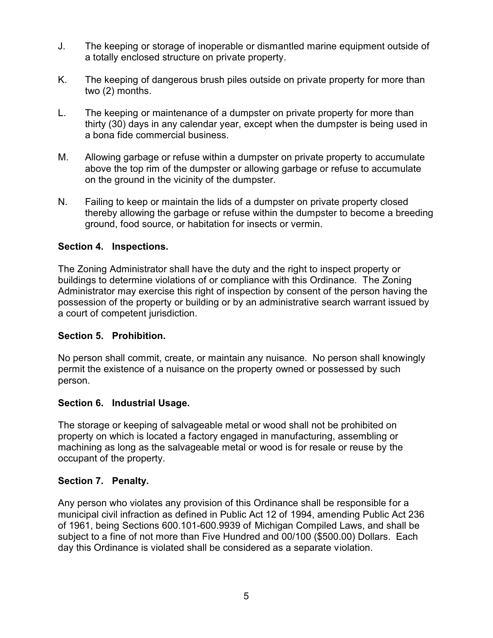- J. The keeping or storage of inoperable or dismantled marine equipment outside of a totally enclosed structure on private property.
- K. The keeping of dangerous brush piles outside on private property for more than two (2) months.
- L. The keeping or maintenance of a dumpster on private property for more than thirty (30) days in any calendar year, except when the dumpster is being used in a bona fide commercial business.
- M. Allowing garbage or refuse within a dumpster on private property to accumulate above the top rim of the dumpster or allowing garbage or refuse to accumulate on the ground in the vicinity of the dumpster.
- N. Failing to keep or maintain the lids of a dumpster on private property closed thereby allowing the garbage or refuse within the dumpster to become a breeding ground, food source, or habitation for insects or vermin.

## **Section 4. Inspections.**

The Zoning Administrator shall have the duty and the right to inspect property or buildings to determine violations of or compliance with this Ordinance. The Zoning Administrator may exercise this right of inspection by consent of the person having the possession of the property or building or by an administrative search warrant issued by a court of competent jurisdiction.

### **Section 5. Prohibition.**

No person shall commit, create, or maintain any nuisance. No person shall knowingly permit the existence of a nuisance on the property owned or possessed by such person.

### **Section 6. Industrial Usage.**

The storage or keeping of salvageable metal or wood shall not be prohibited on property on which is located a factory engaged in manufacturing, assembling or machining as long as the salvageable metal or wood is for resale or reuse by the occupant of the property.

### **Section 7. Penalty.**

Any person who violates any provision of this Ordinance shall be responsible for a municipal civil infraction as defined in Public Act 12 of 1994, amending Public Act 236 of 1961, being Sections 600.101-600.9939 of Michigan Compiled Laws, and shall be subject to a fine of not more than Five Hundred and 00/100 (\$500.00) Dollars. Each day this Ordinance is violated shall be considered as a separate violation.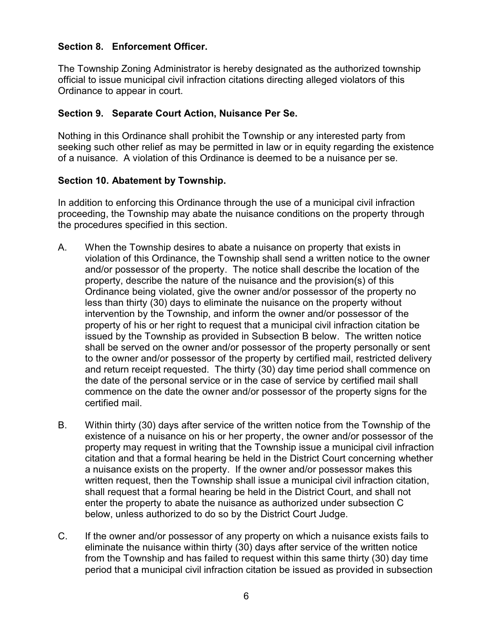# **Section 8. Enforcement Officer.**

The Township Zoning Administrator is hereby designated as the authorized township official to issue municipal civil infraction citations directing alleged violators of this Ordinance to appear in court.

### **Section 9. Separate Court Action, Nuisance Per Se.**

Nothing in this Ordinance shall prohibit the Township or any interested party from seeking such other relief as may be permitted in law or in equity regarding the existence of a nuisance. A violation of this Ordinance is deemed to be a nuisance per se.

### **Section 10. Abatement by Township.**

In addition to enforcing this Ordinance through the use of a municipal civil infraction proceeding, the Township may abate the nuisance conditions on the property through the procedures specified in this section.

- A. When the Township desires to abate a nuisance on property that exists in violation of this Ordinance, the Township shall send a written notice to the owner and/or possessor of the property. The notice shall describe the location of the property, describe the nature of the nuisance and the provision(s) of this Ordinance being violated, give the owner and/or possessor of the property no less than thirty (30) days to eliminate the nuisance on the property without intervention by the Township, and inform the owner and/or possessor of the property of his or her right to request that a municipal civil infraction citation be issued by the Township as provided in Subsection B below. The written notice shall be served on the owner and/or possessor of the property personally or sent to the owner and/or possessor of the property by certified mail, restricted delivery and return receipt requested. The thirty (30) day time period shall commence on the date of the personal service or in the case of service by certified mail shall commence on the date the owner and/or possessor of the property signs for the certified mail.
- B. Within thirty (30) days after service of the written notice from the Township of the existence of a nuisance on his or her property, the owner and/or possessor of the property may request in writing that the Township issue a municipal civil infraction citation and that a formal hearing be held in the District Court concerning whether a nuisance exists on the property. If the owner and/or possessor makes this written request, then the Township shall issue a municipal civil infraction citation, shall request that a formal hearing be held in the District Court, and shall not enter the property to abate the nuisance as authorized under subsection C below, unless authorized to do so by the District Court Judge.
- C. If the owner and/or possessor of any property on which a nuisance exists fails to eliminate the nuisance within thirty (30) days after service of the written notice from the Township and has failed to request within this same thirty (30) day time period that a municipal civil infraction citation be issued as provided in subsection